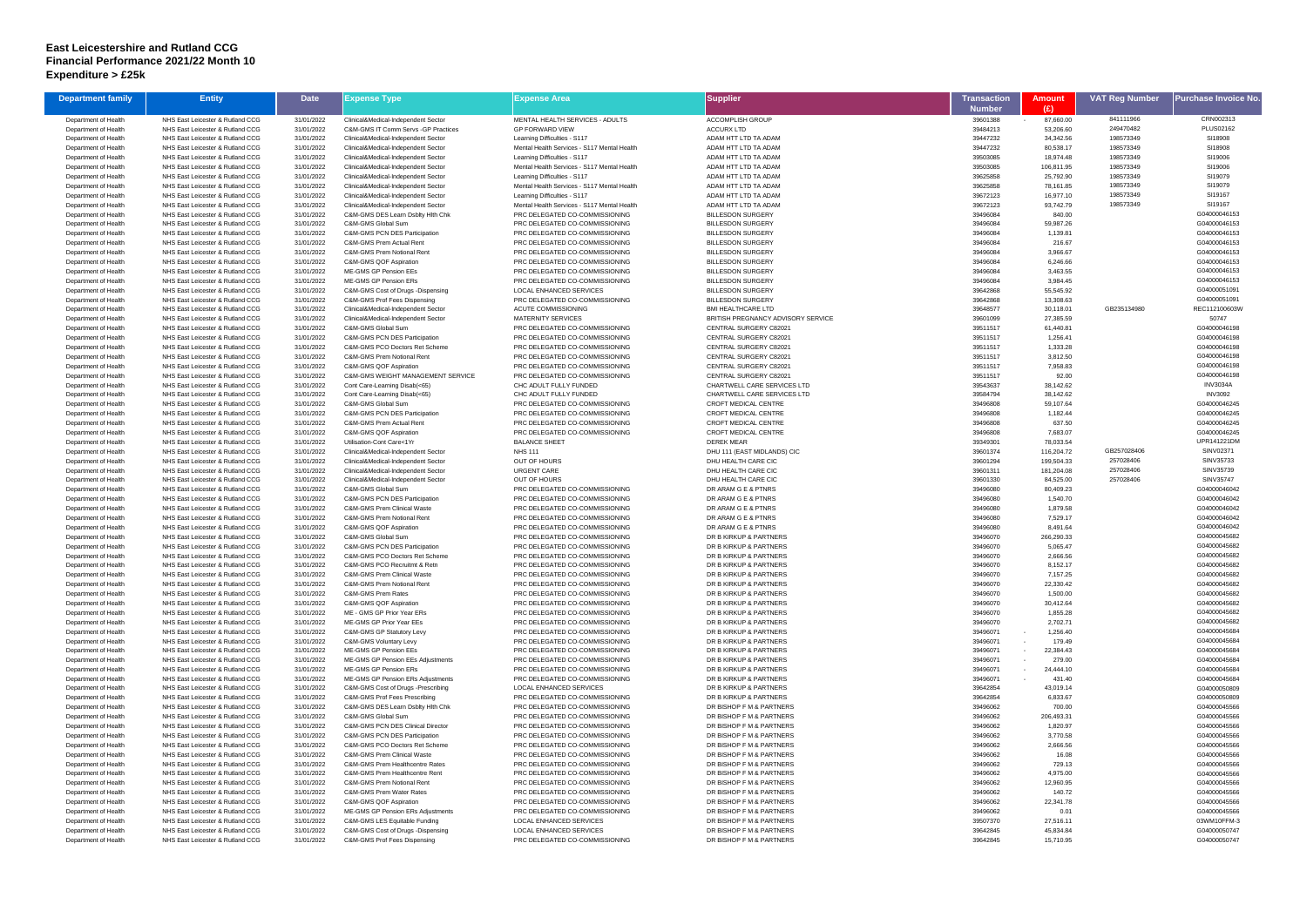## **East Leicestershire and Rutland CCG Financial Performance 2021/22 Month 10 Expenditure > £25k**

| <b>Department family</b>                     | <b>Entity</b>                                                        | <b>Date</b>              | Expense Type                                                               | <b>Expense Area</b>                                                           | Supplier                                                | Transaction          | <b>Amount</b>          | <b>VAT Reg Number</b>  | Purchase Invoice No          |
|----------------------------------------------|----------------------------------------------------------------------|--------------------------|----------------------------------------------------------------------------|-------------------------------------------------------------------------------|---------------------------------------------------------|----------------------|------------------------|------------------------|------------------------------|
|                                              |                                                                      |                          |                                                                            |                                                                               |                                                         | Number               | (E)                    |                        |                              |
| Department of Health                         | NHS East Leicester & Rutland CCG                                     | 31/01/2022               | Clinical&Medical-Independent Sector                                        | MENTAL HEALTH SERVICES - ADULTS                                               | <b>ACCOMPLISH GROUP</b>                                 | 39601388             | 87,660.00              | 841111966              | CRN002313                    |
| Department of Health                         | NHS East Leicester & Rutland CCG<br>NHS East Leicester & Rutland CCG | 31/01/2022               | C&M-GMS IT Comm Servs -GP Practices                                        | <b>GP FORWARD VIEW</b>                                                        | <b>ACCURX LTD</b><br>ADAM HTT LTD TA ADAM               | 39484213<br>39447232 | 53,206.60              | 249470482<br>198573349 | <b>PLUS02162</b><br>SI18908  |
| Department of Health<br>Department of Health | NHS East Leicester & Rutland CCG                                     | 31/01/2022<br>31/01/2022 | Clinical&Medical-Independent Sector<br>Clinical&Medical-Independent Sector | Learning Difficulties - S117<br>Mental Health Services - S117 Mental Health   | ADAM HTT LTD TA ADAM                                    | 39447232             | 34,342.56<br>80,538.17 | 198573349              | SI18908                      |
| Department of Health                         | NHS East Leicester & Rutland CCG                                     | 31/01/2022               | Clinical&Medical-Independent Sector                                        | Learning Difficulties - S117                                                  | ADAM HTT LTD TA ADAM                                    | 39503085             | 18,974.48              | 198573349              | SI19006                      |
| Department of Health                         | NHS East Leicester & Rutland CCG                                     | 31/01/2022               | Clinical&Medical-Independent Sector                                        | Mental Health Services - S117 Mental Health                                   | ADAM HTT LTD TA ADAM                                    | 39503085             | 106,811.95             | 198573349              | SI19006                      |
| Department of Health                         | NHS East Leicester & Rutland CCG                                     | 31/01/2022               | Clinical&Medical-Independent Sector                                        | Learning Difficulties - S117                                                  | ADAM HTT LTD TA ADAM                                    | 39625858             | 25,792.90              | 198573349              | SI19079                      |
| Department of Health                         | NHS East Leicester & Rutland CCG                                     | 31/01/2022               | Clinical&Medical-Independent Sector                                        | Mental Health Services - S117 Mental Health                                   | ADAM HTT LTD TA ADAM                                    | 39625858             | 78,161.85              | 198573349              | SI19079                      |
| Department of Health                         | NHS East Leicester & Rutland CCG                                     | 31/01/2022               | Clinical&Medical-Independent Sector                                        | Learning Difficulties - S117                                                  | ADAM HTT LTD TA ADAM                                    | 39672123             | 16,977.10              | 198573349              | SI19167                      |
| Department of Health<br>Department of Health | NHS East Leicester & Rutland CCG<br>NHS East Leicester & Rutland CCG | 31/01/2022<br>31/01/2022 | Clinical&Medical-Independent Sector<br>C&M-GMS DES Learn Dsblty Hlth Chk   | Mental Health Services - S117 Mental Health<br>PRC DELEGATED CO-COMMISSIONING | ADAM HTT LTD TA ADAM<br><b>BILLESDON SURGERY</b>        | 39672123<br>39496084 | 93,742.79<br>840.00    | 198573349              | SI19167<br>G04000046153      |
| Department of Health                         | NHS East Leicester & Rutland CCG                                     | 31/01/2022               | C&M-GMS Global Sum                                                         | PRC DELEGATED CO-COMMISSIONING                                                | <b>BILLESDON SURGERY</b>                                | 39496084             | 59,987.26              |                        | G04000046153                 |
| Department of Health                         | NHS East Leicester & Rutland CCG                                     | 31/01/2022               | C&M-GMS PCN DES Participation                                              | PRC DELEGATED CO-COMMISSIONING                                                | <b>BILLESDON SURGERY</b>                                | 39496084             | 1,139.81               |                        | G04000046153                 |
| Department of Health                         | NHS East Leicester & Rutland CCG                                     | 31/01/2022               | C&M-GMS Prem Actual Rent                                                   | PRC DELEGATED CO-COMMISSIONING                                                | <b>BILLESDON SURGERY</b>                                | 39496084             | 216.67                 |                        | G04000046153                 |
| Department of Health                         | NHS East Leicester & Rutland CCG                                     | 31/01/2022               | C&M-GMS Prem Notional Rent                                                 | PRC DELEGATED CO-COMMISSIONING                                                | <b>BILLESDON SURGERY</b>                                | 39496084             | 3,966.67               |                        | G04000046153                 |
| Department of Health                         | NHS East Leicester & Rutland CCG                                     | 31/01/2022               | C&M-GMS QOF Aspiration                                                     | PRC DELEGATED CO-COMMISSIONING                                                | <b>BILLESDON SURGERY</b>                                | 39496084             | 6,246.66               |                        | G04000046153                 |
| Department of Health                         | NHS East Leicester & Rutland CCG                                     | 31/01/2022               | ME-GMS GP Pension EEs                                                      | PRC DELEGATED CO-COMMISSIONING                                                | <b>BILLESDON SURGERY</b>                                | 39496084             | 3,463.55               |                        | G04000046153                 |
| Department of Health<br>Department of Health | NHS East Leicester & Rutland CCG<br>NHS East Leicester & Rutland CCG | 31/01/2022<br>31/01/2022 | ME-GMS GP Pension ERs<br>C&M-GMS Cost of Drugs -Dispensing                 | PRC DELEGATED CO-COMMISSIONING<br>LOCAL ENHANCED SERVICES                     | <b>BILLESDON SURGERY</b><br><b>BILLESDON SURGERY</b>    | 39496084<br>39642868 | 3,984.45<br>55,545.92  |                        | G04000046153<br>G04000051091 |
| Department of Health                         | NHS East Leicester & Rutland CCG                                     | 31/01/2022               | C&M-GMS Prof Fees Dispensing                                               | PRC DELEGATED CO-COMMISSIONING                                                | <b>BILLESDON SURGERY</b>                                | 39642868             | 13,308.63              |                        | G04000051091                 |
| Department of Health                         | NHS East Leicester & Rutland CCG                                     | 31/01/2022               | Clinical&Medical-Independent Sector                                        | <b>ACUTE COMMISSIONING</b>                                                    | <b>BMI HEALTHCARE LTD</b>                               | 39648577             | 30,118.01              | GB235134980            | REC112100603W                |
| Department of Health                         | NHS East Leicester & Rutland CCG                                     | 31/01/2022               | Clinical&Medical-Independent Sector                                        | <b>MATERNITY SERVICES</b>                                                     | BRITISH PREGNANCY ADVISORY SERVICE                      | 39601099             | 27,385.59              |                        | 50747                        |
| Department of Health                         | NHS East Leicester & Rutland CCG                                     | 31/01/2022               | C&M-GMS Global Sum                                                         | PRC DELEGATED CO-COMMISSIONING                                                | CENTRAL SURGERY C82021                                  | 39511517             | 61,440.81              |                        | G04000046198                 |
| Department of Health                         | NHS East Leicester & Rutland CCG                                     | 31/01/2022               | C&M-GMS PCN DES Participation                                              | PRC DELEGATED CO-COMMISSIONING                                                | CENTRAL SURGERY C82021                                  | 39511517             | 1,256.41               |                        | G04000046198                 |
| Department of Health                         | NHS East Leicester & Rutland CCG                                     | 31/01/2022               | C&M-GMS PCO Doctors Ret Scheme                                             | PRC DELEGATED CO-COMMISSIONING                                                | CENTRAL SURGERY C82021                                  | 39511517             | 1,333.28               |                        | G04000046198                 |
| Department of Health<br>Department of Health | NHS East Leicester & Rutland CCG<br>NHS East Leicester & Rutland CCG | 31/01/2022<br>31/01/2022 | C&M-GMS Prem Notional Rent<br>C&M-GMS QOF Aspiration                       | PRC DELEGATED CO-COMMISSIONING<br>PRC DELEGATED CO-COMMISSIONING              | <b>CENTRAL SURGERY C82021</b><br>CENTRAL SURGERY C82021 | 39511517<br>39511517 | 3,812.50<br>7,958.83   |                        | G04000046198<br>G04000046198 |
| Department of Health                         | NHS East Leicester & Rutland CCG                                     | 31/01/2022               | C&M-GMS WEIGHT MANAGEMENT SERVICE                                          | PRC DELEGATED CO-COMMISSIONING                                                | CENTRAL SURGERY C82021                                  | 39511517             | 92.00                  |                        | G04000046198                 |
| Department of Health                         | NHS East Leicester & Rutland CCG                                     | 31/01/2022               | Cont Care-Learning Disab(<65)                                              | CHC ADULT FULLY FUNDED                                                        | CHARTWELL CARE SERVICES LTD                             | 39543637             | 38,142.62              |                        | <b>INV3034A</b>              |
| Department of Health                         | NHS East Leicester & Rutland CCG                                     | 31/01/2022               | Cont Care-Learning Disab(<65)                                              | CHC ADULT FULLY FUNDED                                                        | CHARTWELL CARE SERVICES LTD                             | 39584794             | 38,142.62              |                        | <b>INV3092</b>               |
| Department of Health                         | NHS East Leicester & Rutland CCG                                     | 31/01/2022               | C&M-GMS Global Sum                                                         | PRC DELEGATED CO-COMMISSIONING                                                | CROFT MEDICAL CENTRE                                    | 39496808             | 59,107.64              |                        | G04000046245                 |
| Department of Health                         | NHS East Leicester & Rutland CCG                                     | 31/01/2022               | <b>C&amp;M-GMS PCN DES Participation</b>                                   | PRC DELEGATED CO-COMMISSIONING                                                | <b>CROFT MEDICAL CENTRE</b>                             | 39496808             | 1,182.44               |                        | G04000046245                 |
| Department of Health                         | NHS East Leicester & Rutland CCG                                     | 31/01/2022               | C&M-GMS Prem Actual Rent                                                   | PRC DELEGATED CO-COMMISSIONING                                                | <b>CROFT MEDICAL CENTRE</b>                             | 39496808             | 637.50                 |                        | G04000046245                 |
| Department of Health<br>Department of Health | NHS East Leicester & Rutland CCG<br>NHS East Leicester & Rutland CCG | 31/01/2022<br>31/01/2022 | C&M-GMS QOF Aspiration<br>Utilisation-Cont Care<1Yr                        | PRC DELEGATED CO-COMMISSIONING<br><b>BALANCE SHEET</b>                        | CROFT MEDICAL CENTRE<br><b>DEREK MEAR</b>               | 39496808<br>39349301 | 7,683.07<br>78,033.54  |                        | G04000046245<br>UPR141221DM  |
| Department of Health                         | NHS East Leicester & Rutland CCG                                     | 31/01/2022               | Clinical&Medical-Independent Sector                                        | <b>NHS 111</b>                                                                | DHU 111 (EAST MIDLANDS) CIC                             | 39601374             | 116,204.72             | GB257028406            | SINV02371                    |
| Department of Health                         | NHS East Leicester & Rutland CCG                                     | 31/01/2022               | Clinical&Medical-Independent Sector                                        | <b>OUT OF HOURS</b>                                                           | DHU HEALTH CARE CIC                                     | 39601294             | 199,504.33             | 257028406              | SINV35733                    |
| Department of Health                         | NHS East Leicester & Rutland CCG                                     | 31/01/2022               | Clinical&Medical-Independent Sector                                        | <b>URGENT CARE</b>                                                            | DHU HEALTH CARE CIC                                     | 39601311             | 181,204.08             | 257028406              | SINV35739                    |
| Department of Health                         | NHS East Leicester & Rutland CCG                                     | 31/01/2022               | Clinical&Medical-Independent Sector                                        | <b>OUT OF HOURS</b>                                                           | DHU HEALTH CARE CIC                                     | 39601330             | 84,525.00              | 257028406              | <b>SINV35747</b>             |
| Department of Health                         | NHS East Leicester & Rutland CCG                                     | 31/01/2022               | C&M-GMS Global Sum                                                         | PRC DELEGATED CO-COMMISSIONING                                                | DR ARAM G E & PTNRS                                     | 39496080             | 80,409.23              |                        | G04000046042                 |
| Department of Health                         | NHS East Leicester & Rutland CCG                                     | 31/01/2022               | <b>C&amp;M-GMS PCN DES Participation</b>                                   | PRC DELEGATED CO-COMMISSIONING                                                | DR ARAM G E & PTNRS                                     | 39496080             | 1,540.70               |                        | G04000046042<br>G04000046042 |
| Department of Health<br>Department of Health | NHS East Leicester & Rutland CCG<br>NHS East Leicester & Rutland CCG | 31/01/2022<br>31/01/2022 | <b>C&amp;M-GMS Prem Clinical Waste</b><br>C&M-GMS Prem Notional Rent       | PRC DELEGATED CO-COMMISSIONING<br>PRC DELEGATED CO-COMMISSIONING              | DR ARAM G E & PTNRS<br>DR ARAM G E & PTNRS              | 39496080<br>39496080 | 1,879.58<br>7,529.17   |                        | G04000046042                 |
| Department of Health                         | NHS East Leicester & Rutland CCG                                     | 31/01/2022               | C&M-GMS QOF Aspiration                                                     | PRC DELEGATED CO-COMMISSIONING                                                | DR ARAM G E & PTNRS                                     | 39496080             | 8,491.64               |                        | G04000046042                 |
| Department of Health                         | NHS East Leicester & Rutland CCG                                     | 31/01/2022               | C&M-GMS Global Sum                                                         | PRC DELEGATED CO-COMMISSIONING                                                | DR B KIRKUP & PARTNERS                                  | 39496070             | 266,290.33             |                        | G04000045682                 |
| Department of Health                         | NHS East Leicester & Rutland CCG                                     | 31/01/2022               | C&M-GMS PCN DES Participation                                              | PRC DELEGATED CO-COMMISSIONING                                                | DR B KIRKUP & PARTNERS                                  | 39496070             | 5,065.47               |                        | G04000045682                 |
| Department of Health                         | NHS East Leicester & Rutland CCG                                     | 31/01/2022               | C&M-GMS PCO Doctors Ret Scheme                                             | PRC DELEGATED CO-COMMISSIONING                                                | DR B KIRKUP & PARTNERS                                  | 39496070             | 2,666.56               |                        | G04000045682                 |
| Department of Health                         | NHS East Leicester & Rutland CCG                                     | 31/01/2022               | C&M-GMS PCO Recruitmt & Retn                                               | PRC DELEGATED CO-COMMISSIONING                                                | DR B KIRKUP & PARTNERS                                  | 39496070             | 8,152.17               |                        | G04000045682                 |
| Department of Health<br>Department of Health | NHS East Leicester & Rutland CCG<br>NHS East Leicester & Rutland CCG | 31/01/2022<br>31/01/2022 | <b>C&amp;M-GMS Prem Clinical Waste</b><br>C&M-GMS Prem Notional Rent       | PRC DELEGATED CO-COMMISSIONING<br>PRC DELEGATED CO-COMMISSIONING              | DR B KIRKUP & PARTNERS<br>DR B KIRKUP & PARTNERS        | 39496070<br>39496070 | 7.157.25<br>22,330.42  |                        | G04000045682<br>G04000045682 |
| Department of Health                         | NHS East Leicester & Rutland CCG                                     | 31/01/2022               | C&M-GMS Prem Rates                                                         | PRC DELEGATED CO-COMMISSIONING                                                | DR B KIRKUP & PARTNERS                                  | 39496070             | 1,500.00               |                        | G04000045682                 |
| Department of Health                         | NHS East Leicester & Rutland CCG                                     | 31/01/2022               | C&M-GMS QOF Aspiration                                                     | PRC DELEGATED CO-COMMISSIONING                                                | DR B KIRKUP & PARTNERS                                  | 39496070             | 30,412.64              |                        | G04000045682                 |
| Department of Health                         | NHS East Leicester & Rutland CCG                                     | 31/01/2022               | ME - GMS GP Prior Year ERs                                                 | PRC DELEGATED CO-COMMISSIONING                                                | DR B KIRKUP & PARTNERS                                  | 39496070             | 1,855.28               |                        | G04000045682                 |
| Department of Health                         | NHS East Leicester & Rutland CCG                                     | 31/01/2022               | ME-GMS GP Prior Year EEs                                                   | PRC DELEGATED CO-COMMISSIONING                                                | DR B KIRKUP & PARTNERS                                  | 39496070             | 2,702.71               |                        | G04000045682                 |
| Department of Health                         | NHS East Leicester & Rutland CCG                                     | 31/01/2022               | C&M-GMS GP Statutory Levy                                                  | PRC DELEGATED CO-COMMISSIONING                                                | DR B KIRKUP & PARTNERS                                  | 39496071             | 1,256.40               |                        | G04000045684                 |
| Department of Health                         | NHS East Leicester & Rutland CCG                                     | 31/01/2022               | C&M-GMS Voluntary Levy                                                     | PRC DELEGATED CO-COMMISSIONING                                                | DR B KIRKUP & PARTNERS                                  | 39496071             | 179.49<br>$\sim$       |                        | G04000045684                 |
| Department of Health<br>Department of Health | NHS East Leicester & Rutland CCG<br>NHS East Leicester & Rutland CCG | 31/01/2022<br>31/01/2022 | ME-GMS GP Pension EEs<br>ME-GMS GP Pension EEs Adjustments                 | PRC DELEGATED CO-COMMISSIONING<br>PRC DELEGATED CO-COMMISSIONING              | DR B KIRKUP & PARTNERS<br>DR B KIRKUP & PARTNERS        | 39496071<br>39496071 | 22,384.43<br>279.00    |                        | G04000045684<br>G04000045684 |
| Department of Health                         | NHS East Leicester & Rutland CCG                                     | 31/01/2022               | ME-GMS GP Pension ERs                                                      | PRC DELEGATED CO-COMMISSIONING                                                | DR B KIRKUP & PARTNERS                                  | 39496071             | 24,444.10              |                        | G04000045684                 |
| Department of Health                         | NHS East Leicester & Rutland CCG                                     | 31/01/2022               | ME-GMS GP Pension ERs Adjustments                                          | PRC DELEGATED CO-COMMISSIONING                                                | DR B KIRKUP & PARTNERS                                  | 39496071             | 431.40                 |                        | G04000045684                 |
| Department of Health                         | NHS East Leicester & Rutland CCG                                     | 31/01/2022               | C&M-GMS Cost of Drugs -Prescribing                                         | LOCAL ENHANCED SERVICES                                                       | DR B KIRKUP & PARTNERS                                  | 39642854             | 43,019.14              |                        | G04000050809                 |
| Department of Health                         | NHS East Leicester & Rutland CCG                                     | 31/01/2022               | C&M-GMS Prof Fees Prescribing                                              | PRC DELEGATED CO-COMMISSIONING                                                | DR B KIRKUP & PARTNERS                                  | 39642854             | 6,833.67               |                        | G04000050809                 |
| Department of Health                         | NHS East Leicester & Rutland CCG                                     | 31/01/2022               | C&M-GMS DES Learn Dsblty Hlth Chk                                          | PRC DELEGATED CO-COMMISSIONING                                                | DR BISHOP F M & PARTNERS                                | 39496062             | 700.00                 |                        | G04000045566                 |
| Department of Health                         | NHS East Leicester & Rutland CCG<br>NHS East Leicester & Rutland CCG | 31/01/2022<br>31/01/2022 | C&M-GMS Global Sum<br><b>C&amp;M-GMS PCN DES Clinical Director</b>         | PRC DELEGATED CO-COMMISSIONING<br>PRC DELEGATED CO-COMMISSIONING              | DR BISHOP F M & PARTNERS<br>DR BISHOP F M & PARTNERS    | 39496062<br>39496062 | 206,493.31<br>1,820.97 |                        | G04000045566<br>G04000045566 |
| Department of Health<br>Department of Health | NHS East Leicester & Rutland CCG                                     | 31/01/2022               | C&M-GMS PCN DES Participation                                              | PRC DELEGATED CO-COMMISSIONING                                                | DR BISHOP F M & PARTNERS                                | 39496062             | 3,770.58               |                        | G04000045566                 |
| Department of Health                         | NHS East Leicester & Rutland CCG                                     | 31/01/2022               | C&M-GMS PCO Doctors Ret Scheme                                             | PRC DELEGATED CO-COMMISSIONING                                                | DR BISHOP F M & PARTNERS                                | 39496062             | 2,666.56               |                        | G04000045566                 |
| Department of Health                         | NHS East Leicester & Rutland CCG                                     | 31/01/2022               | C&M-GMS Prem Clinical Waste                                                | PRC DELEGATED CO-COMMISSIONING                                                | DR BISHOP F M & PARTNERS                                | 39496062             | 16.08                  |                        | G04000045566                 |
| Department of Health                         | NHS East Leicester & Rutland CCG                                     | 31/01/2022               | C&M-GMS Prem Healthcentre Rates                                            | PRC DELEGATED CO-COMMISSIONING                                                | DR BISHOP F M & PARTNERS                                | 39496062             | 729.13                 |                        | G04000045566                 |
| Department of Health                         | NHS East Leicester & Rutland CCG                                     | 31/01/2022               | C&M-GMS Prem Healthcentre Rent                                             | PRC DELEGATED CO-COMMISSIONING                                                | DR BISHOP F M & PARTNERS                                | 39496062             | 4,975.00               |                        | G04000045566                 |
| Department of Health                         | NHS East Leicester & Rutland CCG                                     | 31/01/2022               | C&M-GMS Prem Notional Rent                                                 | PRC DELEGATED CO-COMMISSIONING                                                | DR BISHOP F M & PARTNERS                                | 39496062             | 12,960.95              |                        | G04000045566                 |
| Department of Health<br>Department of Health | NHS East Leicester & Rutland CCG<br>NHS East Leicester & Rutland CCG | 31/01/2022<br>31/01/2022 | C&M-GMS Prem Water Rates<br>C&M-GMS QOF Aspiration                         | PRC DELEGATED CO-COMMISSIONING<br>PRC DELEGATED CO-COMMISSIONING              | DR BISHOP F M & PARTNERS<br>DR BISHOP F M & PARTNERS    | 39496062<br>39496062 | 140.72<br>22,341.78    |                        | G04000045566<br>G04000045566 |
| Department of Health                         | NHS East Leicester & Rutland CCG                                     | 31/01/2022               | ME-GMS GP Pension ERs Adjustments                                          | PRC DELEGATED CO-COMMISSIONING                                                | DR BISHOP F M & PARTNERS                                | 39496062             | 0.01                   |                        | G04000045566                 |
| Department of Health                         | NHS East Leicester & Rutland CCG                                     | 31/01/2022               | C&M-GMS LES Equitable Funding                                              | LOCAL ENHANCED SERVICES                                                       | DR BISHOP F M & PARTNERS                                | 39507370             | 27,516.11              |                        | 03WM10FFM-3                  |
| Department of Health                         | NHS East Leicester & Rutland CCG                                     | 31/01/2022               | C&M-GMS Cost of Drugs -Dispensing                                          | LOCAL ENHANCED SERVICES                                                       | DR BISHOP F M & PARTNERS                                | 39642845             | 45,834.84              |                        | G04000050747                 |
| Department of Health                         | NHS East Leicester & Rutland CCG                                     | 31/01/2022               | C&M-GMS Prof Fees Dispensing                                               | PRC DELEGATED CO-COMMISSIONING                                                | DR BISHOP F M & PARTNERS                                | 39642845             | 15,710.95              |                        | G04000050747                 |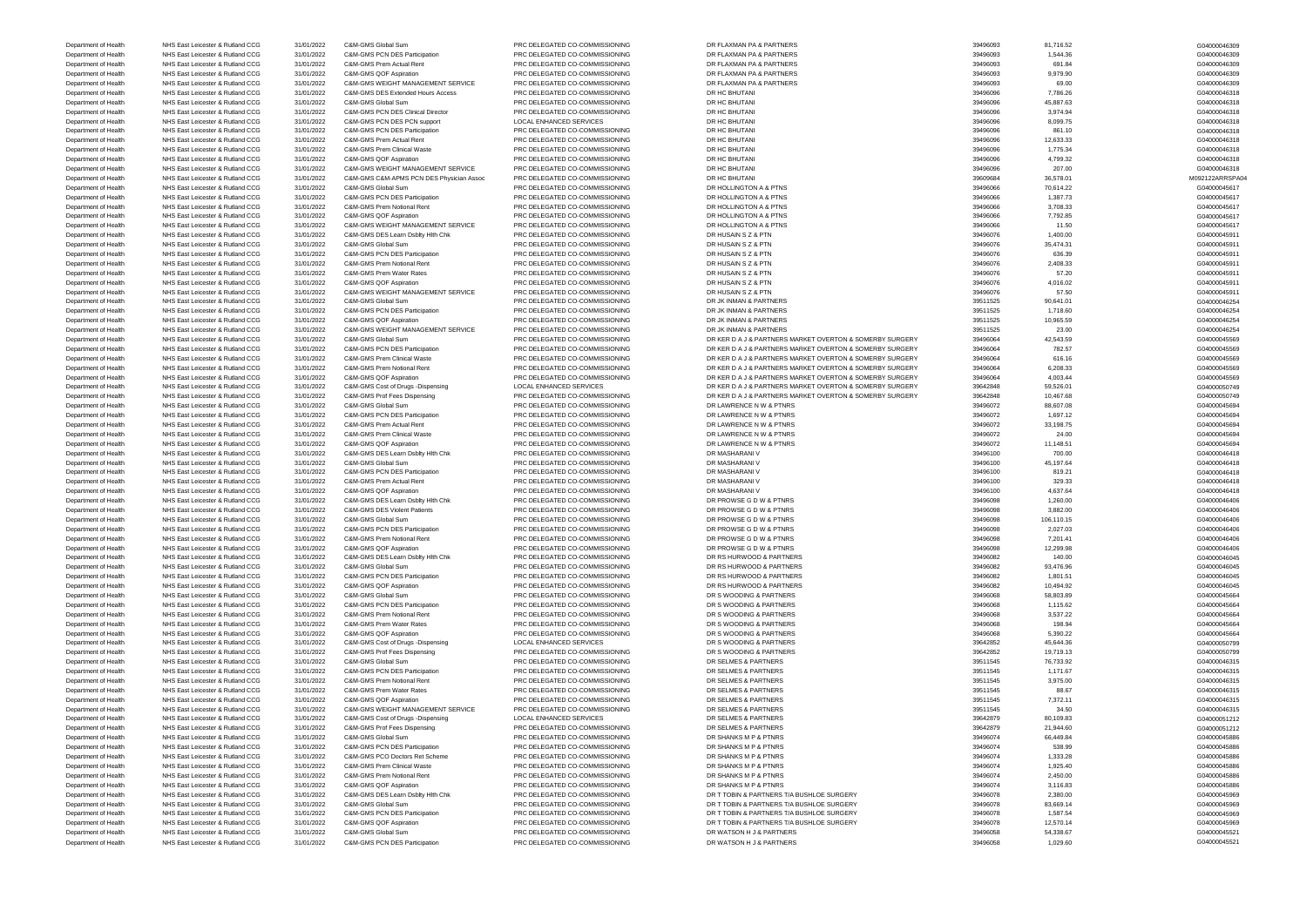Department of Health NHS East Leicester & Rutland CCG 31/01/2022 C&M-GMS PCN DES Participation PRC DELEGATED CO-COMMISSIONING DR WATSON H J & PARTNERS 39496058 39496058 1,029.60 39496058 1,029.60 604000045521

Department of Health NHS East Leicester & Rutland CCG 31/01/2022 C&M-GMS Global Sum PRC DELEGATED CO-COMMISSIONING DR FLAXMAN PA & PARTNERS 39496093 81,716.52 81,716.52 81,716.52 604000046309 Department of Health NHS East Leicester & Rutland CCG 31/01/2022 C&M-GMS PCN DES Participation PRC DELEGATED CO-COMMISSIONING DR FLAXMAN PA & PARTNERS 39496093 1,544.36 39496093 1,544.36 G04000046309 1,544.36 G04000046309 Department of Health NHS East Leicester & Rutland CCG 31/01/2022 C&M-GMS Prem Actual Rent PRC DELEGATED CO-COMMISSIONING DR FLAXMAN PA & PARTNERS 39496093 691.84 691.84 691.84 691.84 Department of Health NHS East Leicester & Rutland CCG 31/01/2022 C&M-GMS QOF Aspiration PRC DELEGATED CO-COMMISSIONING DR FLAXMAN PA & PARTNERS 39496093 39496093 9,979.90 9,979.90 S04000046309 Department of Health NHS East Leicester & Rutland CCG 31/01/2022 C&M-GMS WEIGHT MANAGEMENT SERVICE PRC DELEGATED CO-COMMISSIONING DR FLAXMAN PA & PARTNERS 39496093 69.00 69.00 69.00 69.00 69.00 69.00 69.00 69.00 6040000463 Department of Health NHS East Leicester & Rutland CCG 31/01/2022 C&M-GMS DES Extended Hours Access PRC DELEGATED CO-COMMISSIONING DR HC BHUTANI 39496096 31/496096 7,786.26 7,786.26 604000046318 Department of Health NHS East Leicester & Rutland CCG 31/01/2022 C&M-GMS Global Sum PRC DELEGATED CO-COMMISSIONING DR HC BHUTANI 39496096 45,887.63 45,887.63 604000046318 Department of Health NHS East Leicester & Rutland CCG 31/01/2022 C&M-GMS PCN DES Clinical Director PRC DELEGATED CO-COMMISSIONING DR HC BHUTANI 39496096 3,974.94 3,974.94 3,974.94 S04000046318 Department of Health NHS East Leicester & Rutland CCG 31/01/2022 C&M-GMS PCN DES PCN support LOCAL ENHANCED SERVICES DR HC BHUTANI 39496096 39496096 8,099.75 39496096 8,099.75 G04000046318 Department of Health NHS East Leicester & Rutland CCG 31/01/2022 C&M-GMS PCN DES Participation PRC DELEGATED CO-COMMISSIONING DR HC BHUTANI 39496096 861.10 861.10 861.10 BECOMESTED DR HC BHUTANI 39496096 861.10 861.10 G040 Department of Health NHS East Leicester & Rutland CCG 31/01/2022 C&M-GMS Prem Actual Rent PRC DELEGATED CO-COMMISSIONING DR HC BHUTANI 39496096 31/96096 31/33 33 3496096 12,633.33 G04000046318 Department of Health NHS East Leicester & Rutland CCG 31/01/2022 C&M-GMS Prem Clinical Waste PRC DELEGATED CO-COMMISSIONING DR HC BHUTANI 39496096 31/496096 31/375.34 504000046318 Department of Health NHS East Leicester & Rutland CCG 31/01/2022 C&M-GMS QOF Aspiration PRC DELEGATED CO-COMMISSIONING DR HC BHUTANI 39496096 31/4799.32 4,799.32 G04000046318 Department of Health NHS East Leicester & Rutland CCG 31/01/2022 C&M-GMS WEIGHT MANAGEMENT SERVICE PRC DELEGATED CO-COMMISSIONING DR HC BHUTANI DR HC BHUTANI 39496096 207.00 207.00 207.00 207.00 604000046318 Department of Health NHS East Leicester & Rutland CCG 31/01/2022 C&M-GMS C&M-APMS PCN DES Physician Assoc PRC DELEGATED CO-COMMISSIONING DR HC BHUTANI 39609684 36,578.01 39609684 36,578.01 M092122ARRSPA04 Department of Health NHS East Leicester & Rutland CCG 31/01/2022 C&M-GMS Global Sum PRC DELEGATED CO-COMMISSIONING DR HOLLINGTON A & PTNS 3949606 70,614.22 70614.22 GB4000045617 Department of Health NHS East Leicester & Rutland CCG 31/01/2022 C&M-GMS PCN DES Participation PRC DELEGATED CO-COMMISSIONING DR HOLLINGTON A & PTNS 3949606 39496066 1,387.73 5604000045617 Department of Health NHS East Leicester & Rutland CCG 31/01/2022 C&M-GMS Prem Notional Rent PRC DELEGATED CO-COMMISSIONING DR HOLLINGTON A & PTNS 3949606 3,708.33 39496066 3,708.33 G04000045617 Department of Health NHS East Leicester & Rutland CCG 31/01/2022 C&M-GMS QOF Aspiration PRC DELEGATED CO-COMMISSIONING DR HOLLINGTON A & PTNS 3949606 7,792.85 39496066 7,792.85 G04000045617 Department of Health NHS East Leicester & Rutland CCG 31/01/2022 C&M-GMS WEIGHT MANAGEMENT SERVICE PRC DELEGATED CO-COMMISSIONING DR HOLLINGTON A & PTNS 3949606 39496066 11.50 11.50 11.50 604000045617 Department of Health NHS East Leicester & Rutland CCG 31/01/2022 C&M-GMS DES Learn Dsblty Hlth Chk PRC DELEGATED CO-COMMISSIONING DR HUSAIN S Z & PTN 39496076 39496076 1,400.00 1,400.00 39496076 504000045911 Department of Health NHS East Leicester & Rutland CCG 31/01/2022 C&M-GMS Global Sum PRC DELEGATED CO-COMMISSIONING DR HUSAIN S Z & PTN 39496076 39496076 35,474.31 G04000045911 Department of Health NHS East Leicester & Rutland CCG 31/01/2022 C&M-GMS PCN DES Participation PRC DELEGATED CO-COMMISSIONING DR HUSAIN S Z & PTN 39496076 39496076 636.39 604000045911 Department of Health NHS East Leicester & Rutland CCG 31/01/2022 C&M-GMS Prem Notional Rent PRC DELEGATED CO-COMMISSIONING DR HUSAIN S Z & PTN 39496076 39496076 2,408.33 39496076 2,408.33 G04000045911 Department of Health NHS East Leicester & Rutland CCG 31/01/2022 C&M-GMS Prem Water Rates PRC DELEGATED CO-COMMISSIONING DR HUSAIN S Z & PTN 39496076 39496076 57.20 57.20 504000045911 Department of Health NHS East Leicester & Rutland CCG 31/01/2022 C&M-GMS QOF Aspiration PRC DELEGATED CO-COMMISSIONING DR HUSAIN S Z & PTN 39496076 39496076 4,016.02 4,016.02 G04000045911 Department of Health NHS East Leicester & Rutland CCG 31/01/2022 C&M-GMS WEIGHT MANAGEMENT SERVICE PRC DELEGATED CO-COMMISSIONING DR HUSAIN S Z & PTN 39496076 57.50 57.50 57.50 57.50 604000045911 Department of Health NHS East Leicester & Rutland CCG 31/01/2022 C&M-GMS Global Sum PRC DELEGATED CO-COMMISSIONING DR JK INMAN & PARTNERS 39511525 90,641.01 39511525 90,641.01 G04000046254 Department of Health NHS East Leicester & Rutland CCG 31/01/2022 C&M-GMS PCN DES Participation PRC DELEGATED CO-COMMISSIONING DR JK INMAN & PARTNERS 39511525 39511525 1,718.60 39511525 39511526 3,9511526 504000046254 Department of Health NHS East Leicester & Rutland CCG 31/01/2022 C&M-GMS QOF Aspiration PRC DELEGATED CO-COMMISSIONING DR JK INMAN & PARTNERS 39511525 39511525 10,965.59 10,965.59 604000046254 Department of Health NHS East Leicester & Rutland CCG 31/01/2022 C&M-GMS WEIGHT MANAGEMENT SERVICE PRC DELEGATED CO-COMMISSIONING DR JK INMAN & PARTNERS 39511525 23.00 39511525 23.00 G04000046254 Department of Health NHS East Leicester & Rutland CCG 31/01/2022 C&M-GMS Global Sum PRC DELEGATED CO-COMMISSIONING DR KER D A J & PARTNERS MARKET OVERTON & SOMERBY SURGERY 39496064 42.543.59 42.543.59 G04000045569 Department of Health NHS East Leicester & Rutland CCG 31/01/2022 C&M-GMS PCN DES Participation PRC DELEGATED CO-COMMISSIONING DR KER D A J & PARTNERS MARKET OVERTON & SOMERBY SURGERY 39496064 782.57 3947 39496064 782.57 G0 Department of Health NHS East Leicester & Rutland CCG 31/01/2022 C&M-GMS Prem Clinical Waste PRC DELEGATED CO-COMMISSIONING DR KER D A J & PARTNERS MARKET OVERTON & SOMERBY SURGERY 39496064 616.16 616.16 604000045569 Department of Health NHS East Leicester & Rutland CCG 31/01/2022 C&M-GMS Prem Notional Rent PRC DELEGATED CO-COMMISSIONING DR KER D A J & PARTNERS MARKET OVERTON & SOMERBY SURGERY 39496064 6,208.33 6604000045569 G040000455 Department of Health NHS East Leicester & Rutland CCG 31/01/2022 C&M-GMS QOF Aspiration PRC DELEGATED CO-COMMISSIONING DR KER D A J & PARTNERS MARKET OVERTON & SOMERBY SURGERY 39496064 4.003.44 4003.44 4003.44 G04000045569 Department of Health NHS East Leicester & Rutland CCG 31/01/2022 C&M-GMS Cost of Drugs -Dispensing LOCAL ENHANCED SERVICES DR KER D A J & PARTNERS MARKET OVERTON & SOMERBY SURGERY 39642848 59,526.01 59,526.01 G04000050749 Department of Health NHS East Leicester & Rutland CCG 31/01/2022 C&M-GMS Prof Fees Dispensing PRC DELEGATED CO-COMMISSIONING DR KER DA J & PARTNERS MARKET OVERTON & SOMERBY SURGERY 39642848 10,467.68 1064000050749 10,467.6 Department of Health NHS East Leicester & Rutland CCG 31/01/2022 C&M-GMS Global Sum PRC DELEGATED CO-COMMISSIONING DR LAWRENCE N W & PTNRS 39496072 88,607.08 88,607.08 88,607.08 604000045694 Department of Health NHS East Leicester & Rutland CCG 31/01/2022 C&M-GMS PCN DES Participation PRC DELEGATED CO-COMMISSIONING DR LAWRENCE N W & PTNRS 39496072 39496072 1,697.12 1,697.12 604000045694 Department of Health NHS East Leicester & Rutland CCG 31/01/2022 C&M-GMS Prem Actual Rent PRC DELEGATED CO-COMMISSIONING DR LAWRENCE N W & PTNRS 39496072 33,198.75 33,198.75 33,198.75 G04000045694 Department of Health NHS East Leicester & Rutland CCG 31/01/2022 C&M-GMS Prem Clinical Waste PRC DELEGATED CO-COMMISSIONING DR LAWRENCE N W & PTNRS 39496072 24.00 24.00 24.00 24.00 G04000045694 Department of Health NHS East Leicester & Rutland CCG 31/01/2022 C&M-GMS QOF Aspiration PRC DELEGATED CO-COMMISSIONING DR LAWRENCE N W & PTNRS 39496072 39496072 11,148.51 11,148.51 G04000045694 Department of Health NHS East Leicester & Rutland CCG 31/01/2022 C&M-GMS DES Learn Dsblty Hlth Chk PRC DELEGATED CO-COMMISSIONING DR MASHARANI V 39496100 700.00 G04000046418 Department of Health NHS East Leicester & Rutland CCG 31/01/2022 C&M-GMS Global Sum PRC DELEGATED CO-COMMISSIONING DR MASHARANI V 39496100 45,197.64 39496100 45,197.64 G04000046418 Department of Health NHS East Leicester & Rutland CCG 31/01/2022 C&M-GMS PCN DES Participation PRC DELEGATED CO-COMMISSIONING DR MASHARANI V 39496100 819.21 39496100 819.21 SG04000046418 Department of Health NHS East Leicester & Rutland CCG 31/01/2022 C&M-GMS Prem Actual Rent PRC DELEGATED CO-COMMISSIONING DR MASHARANI V 39496100 39496100 329.33 329.33 SC 304000046418 Department of Health NHS East Leicester & Rutland CCG 31/01/2022 C&M-GMS QOF Aspiration PRC DELEGATED CO-COMMISSIONING DR MASHARANI V 39496100 4,637.64 39496100 4,637.64 G04000046418 Department of Health NHS East Leicester & Rutland CCG 31/01/2022 C&M-GMS DES Learn Dsblty Hlth Chk PRC DELEGATED CO-COMMISSIONING DR PROWSE G D W & PTNRS 39496098 39496098 1,260.00 1604000046406 Department of Health NHS East Leicester & Rutland CCG 31/01/2022 C&M-GMS DES Violent Patients PRC DELEGATED CO-COMMISSIONING DR PROWSE G D W & PTNRS 39496098 3,882.00 3,882.00 3,882.00 SO4000046406 Department of Health NHS East Leicester & Rutland CCG 31/01/2022 C&M-GMS Global Sum PRC DELEGATED CO-COMMISSIONING DR PROWSE G D W & PTNRS 39496098 106,110.15 106,110.15 604000046406 Department of Health NHS East Leicester & Rutland CCG 31/01/2022 C&M-GMS PCN DES Participation PRC DELEGATED CO-COMMISSIONING DR PROWSE G D W & PTNRS 39496098 2,027.03 2,027.03 2,027.03 G04000046406 Department of Health NHS East Leicester & Rutland CCG 31/01/2022 C&M-GMS Prem Notional Rent PRC DELEGATED CO-COMMISSIONING DR PROWSE G D W & PTNRS 39496098 7,201.41 39496098 7,201.41 G04000046406 Department of Health NHS East Leicester & Rutland CCG 31/01/2022 C&M-GMS QOF Aspiration PRC DELEGATED CO-COMMISSIONING DR PROWSE G D W & PTNRS 39496098 39496098 12,299.98 12,299.98 604000046406 Department of Health NHS East Leicester & Rutland CCG 31/01/2022 C&M-GMS DES Learn Dsblty Hlth Chk PRC DELEGATED CO-COMMISSIONING DR RS HURWOOD & PARTNERS 39496082 140.00 39496082 31/46.96 39496082 NRS East Leicester & Rut Department of Health NHS East Leicester & Rutland CCG 31/01/2022 C&M-GMS Global Sum PRC DELEGATED CO-COMMISSIONING DR RS HURWOOD & PARTNERS 39496082 93,476.96 93,476.96 93,476.96 93,476.96 93,476.96 93,476.96 93,476.96 93, Department of Health NHS East Leicester & Rutland CCG 31/01/2022 C&M-GMS PCN DES Participation PRC DELEGATED CO-COMMISSIONING DR RS HURWOOD & PARTNERS 39496082 39496082 1,801.51 30496082 1,801.51 G04000046045 Department of Health NHS East Leicester & Rutland CCG 31/01/2022 C&M-GMS QOF Aspiration PRC DELEGATED CO-COMMISSIONING DR RS HURWOOD & PARTNERS 39496082 39496082 10,494.92 10,494.92 604000046045 Department of Health NHS East Leicester & Rutland CCG 31/01/2022 C&M-GMS Global Sum PRC DELEGATED CO-COMMISSIONING DR S WOODING & PARTNERS 39496068 58,803.89 58,803.89 58,803.89 604000045664 Department of Health NHS East Leicester & Rutland CCG 31/01/2022 C&M-GMS PCN DES Participation PRC DELEGATED CO-COMMISSIONING DR S WOODING & PARTNERS 39496068 39496068 1,115.62 39496068 1,115.62 504000045664 Department of Health NHS East Leicester & Rutland CCG 31/01/2022 C&M-GMS Prem Notional Rent PRC DELEGATED CO-COMMISSIONING DR S WOODING & PARTNERS 39496068 3,537.22 39496068 3,537.22 G04000045664 Department of Health NHS East Leicester & Rutland CCG 31/01/2022 C&M-GMS Prem Water Rates PRC DELEGATED CO-COMMISSIONING DR S WOODING & PARTNERS 39496068 39496068 198.94 198.94 SQ4000045664 Department of Health NHS East Leicester & Rutland CCG 31/01/2022 C&M-GMS QOF Aspiration PRC DELEGATED CO-COMMISSIONING DR S WOODING & PARTNERS 39496068 39496068 5,390.22 564000045664 Department of Health NHS East Leicester & Rutland CCG 31/01/2022 C&M-GMS Cost of Drugs -Dispensing LOCAL ENHANCED SERVICES DR S WOODING & PARTNERS 39642852 45,644.36 45,644.36 49.69 40000050799 Department of Health NHS East Leicester & Rutland CCG 31/01/2022 C&M-GMS Prof Fees Dispensing PRC DELEGATED CO-COMMISSIONING DR S WOODING & PARTNERS 39642852 19,719.13 39642852 19,719.13 Department of Health NHS East Leicester & Rutland CCG 31/01/2022 C&M-GMS Global Sum PRC DELEGATED CO-COMMISSIONING DR SELMES & PARTNERS 39511545 39511545 76,733.92 76.733.92 G04000046315 Department of Health NHS East Leicester & Rutland CCG 31/01/2022 C&M-GMS PCN DES Participation PRC DELEGATED CO-COMMISSIONING DR SELMES & PARTNERS 39511545 39511545 1,171.67 39511545 39511545 39511545 1,171.67 G04000046315 Department of Health NHS East Leicester & Rutland CCG 31/01/2022 C&M-GMS Prem Notional Rent PRC DELEGATED CO-COMMISSIONING DR SELMES & PARTNERS 39511545 3,975.00 39511545 3,975.00 S04000046315 Department of Health NHS East Leicester & Rutland CCG 31/01/2022 C&M-GMS Prem Water Rates PRC DELEGATED CO-COMMISSIONING DR SELMES & PARTNERS 39511545 39511545 88.67 88.67 88.67 8961000046315 Department of Health NHS East Leicester & Rutland CCG 31/01/2022 C&M-GMS QOF Aspiration PRC DELEGATED CO-COMMISSIONING DR SELMES & PARTNERS 39511545 7,372.11 7372.11 7372.11 604000046315 Department of Health NHS East Leicester & Rutland CCG 31/01/2022 C&M-GMS WEIGHT MANAGEMENT SERVICE PRC DELEGATED CO-COMMISSIONING DR SELMES & PARTNERS 39511545 39511545 34.50 34.50 34.9000046315 Department of Health NHS East Leicester & Rutland CCG 31/01/2022 C&M-GMS Cost of Drugs -Dispensing LOCAL ENHANCED SERVICES DR SELMES & PARTNERS 39642879 39642879 80,109.83 804000051212 Department of Health NHS East Leicester & Rutland CCG 31/01/2022 C&M-GMS Prof Fees Dispensing PRC DELEGATED CO-COMMISSIONING DR SELMES & PARTNERS 39642879 39642879 21,944.60 21,944.60 G04000051212 Department of Health NHS East Leicester & Rutland CCG 31/01/2022 C&M-GMS Global Sum PRC DELEGATED CO-COMMISSIONING DR SHANKS M P & PTNRS 39496074 39496074 66,449.84 664000045886 Department of Health NHS East Leicester & Rutland CCG 31/01/2022 C&M-GMS PCN DES Participation PRC DELEGATED CO-COMMISSIONING DR SHANKS M P & PTNRS 39496074 538.99 508.99 508.99 604000045886 Department of Health NHS East Leicester & Rutland CCG 31/01/2022 C&M-GMS PCO Doctors Ret Scheme PRC DELEGATED CO-COMMISSIONING DR SHANKS M P & PTNRS 39496074 39496074 1,333.28 39496074 1,333.28 39496074 1,333.28 39496074 1 Department of Health NHS East Leicester & Rutland CCG 31/01/2022 C&M-GMS Prem Clinical Waste PRC DELEGATED CO-COMMISSIONING DR SHANKS M P & PTNRS 39496074 39496074 1,925.40 1,925.40 604000045886 Department of Health NHS East Leicester & Rutland CCG 31/01/2022 C&M-GMS Prem Notional Rent PRC DELEGATED CO-COMMISSIONING DR SHANKS M P & PTNRS 39496074 39496074 2,450.00 2,450.00 C04000045886 Department of Health NHS East Leicester & Rutland CCG 31/01/2022 C&M-GMS QOF Aspiration PRC DELEGATED CO-COMMISSIONING DR SHANKS M P & PTNRS 39496074 3,116.83 39496074 3,116.83 G04000045886 Department of Health NHS East Leicester & Rutland CCG 31/01/2022 C&M-GMS DES Learn Dsblty Hlth Chk PRC DELEGATED CO-COMMISSIONING DR T TOBIN & PARTNERS T/A BUSHLOE SURGERY 39496078 39496078 2,380.00 2,380.00 G04000045969 Department of Health NHS East Leicester & Rutland CCG 31/01/2022 C&M-GMS Global Sum PRC DELEGATED CO-COMMISSIONING DR T TOBIN & PARTNERS T/A BUSHLOE SURGERY 3496078 83,669.14 81.587.54 81.587.54 81.587.54 81.587.54 G040000 Department of Health NHS East Leicester & Rutland CCG 31/01/2022 C&M-GMS PCN DES Participation PRC DELEGATED CO-COMMISSIONING DR T TOBIN & PARTNERS T/A BUSHLOE SURGERY 39496078 39496078 1,587.54 304000045969 Department of Health NHS East Leicester & Rutland CCG 31/01/2022 C&M-GMS QOF Aspiration PRC DELEGATED CO-COMMISSIONING DR T TOBIN & PARTNERS T/A BUSHLOE SURGERY 39496078 12,570.14 12570.14 12,570.14 12,570.14 G04000045969 Department of Health NHS East Leicester & Rutland CCG 31/01/2022 C&M-GMS Global Sum PRC DELEGATED CO-COMMISSIONING DR WATSON H J & PARTNERS 39496058 54,338.67 54,338.67 54,338.67 604000045521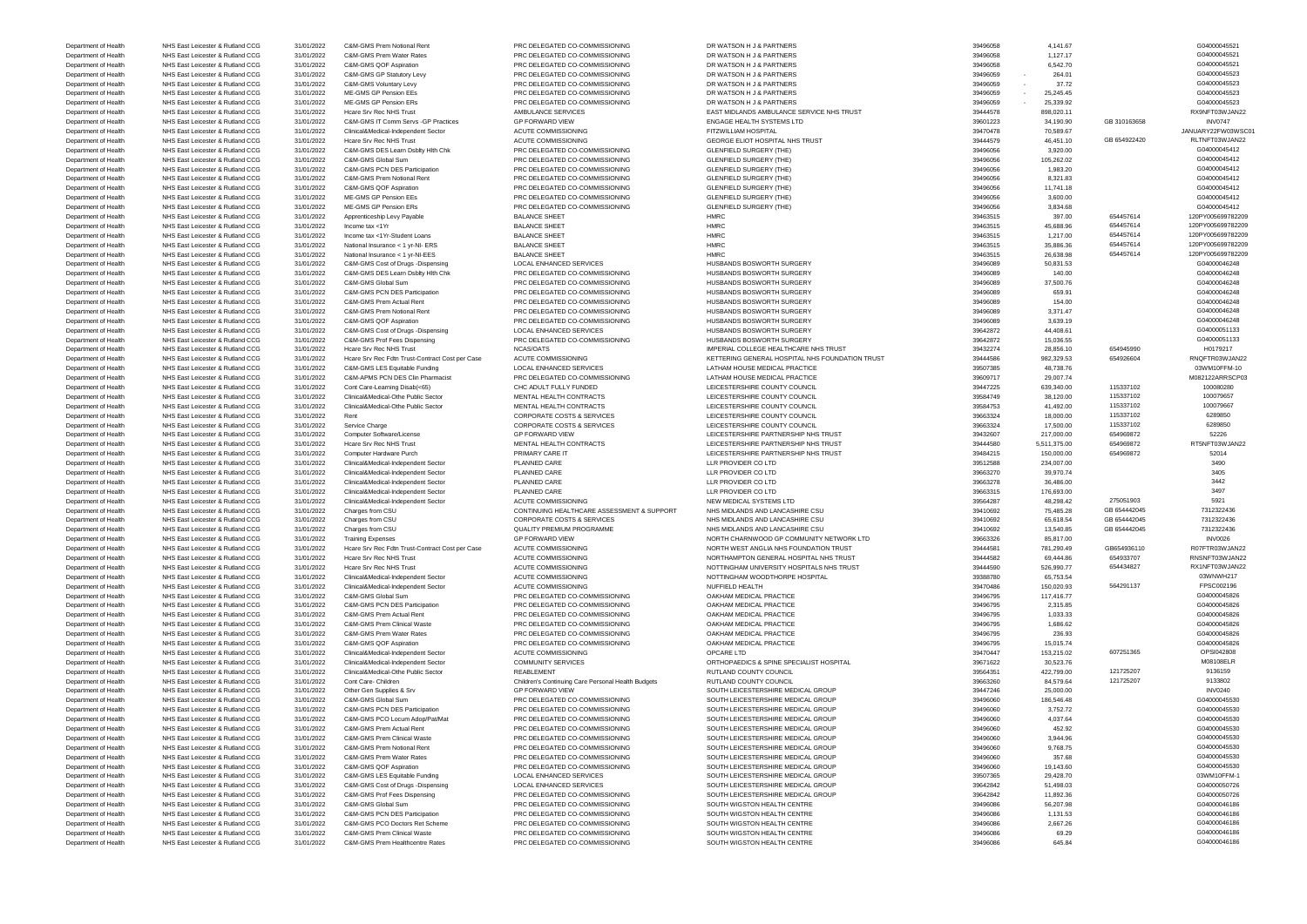Department of Health NHS East Leicester & Rutland CCG 31/01/2022 C&M-GMS Prem Healthcentre Rates PRC DELEGATED CO-COMMISSIONING SOUTH WIGSTON HEALTH CENTRE 39496086 645.84 604000046186

Department of Health NHS East Leicester & Rutland CCG 31/01/2022 C&M-GMS Prem Notional Rent PRC DELEGATED CO-COMMISSIONING DR WATSON H J & PARTNERS 39496058 39496058 4,141.67 4,141.67 G04000045521 Department of Health NHS East Leicester & Rutland CCG 31/01/2022 C&M-GMS Prem Water Rates PRC DELEGATED CO-COMMISSIONING DR WATSON H J & PARTNERS 39496058 39496058 1,127.17 39496058 1,127.17 604000045521 Department of Health NHS East Leicester & Rutland CCG 31/01/2022 C&M-GMS QOF Aspiration PRC DELEGATED CO-COMMISSIONING DR WATSON H J & PARTNERS 39496058 39496058 6,542.70 604000045521 Department of Health NHS East Leicester & Rutland CCG 31/01/2022 C&M-GMS GP Statutory Levy PRC DELEGATED CO-COMMISSIONING DR WATSON H J & PARTNERS 39496059 - 264.01 264000045523 Department of Health NHS East Leicester & Rutland CCG 31/01/2022 C&M-GMS Voluntary Levy PRC DELEGATED CO-COMMISSIONING DR WATSON H J & PARTNERS 39496059 - 37.72 37-72 604000045523 Department of Health NHS East Leicester & Rutland CCG 31/01/2022 ME-GMS GP Pension EEs PRC DELEGATED CO-COMMISSIONING DR WATSON H J & PARTNERS 39496059 - 25,245.45 39496059 - 25,245.45 G04000045523 Department of Health NHS East Leicester & Rutland CCG 31/01/2022 ME-GMS GP Pension ERs PRC DELEGATED CO-COMMISSIONING DR WATSON H J & PARTNERS 39496059 - 25,339.92 39496059 - 25,339.92 G04000045523 Department of Health NHS East Leicester & Rutland CCG 31/01/2022 Hcare Srv Rec NHS Trust AMBULANCE SERVICES EAST MIDLANDS AMBULANCE SERVICE NHS TRUST 39444578 898,020.11 888,020.11 RX9NFT03WJAN22 Department of Health NHS East Leicester & Rutland CCG 31/01/2022 C&M-GMS IT Comm Servs -GP Practices GP FORWARD VIEW ENGAGE HEALTH SYSTEMS LTD 39601223 34,190.90 GB 310163658 GB 310163658 INV0747 Department of Health NHS East Leicester & Rutland CCG 31/01/2022 Clinical&Medical-Independent Sector ACUTE COMMISSIONING FITZWILLIAM HOSPITAL 39470478 39470478 70,589.67 JANUARY22FW03WSC01 Department of Health NHS East Leicester & Rutland CCG 31/01/2022 Hcare Srv Rec NHS Trust ACUTE COMMISSIONING GEORGE ELIOT HOSPITAL NHS TRUST 39444579 46,451.10 GB 654922420 RLTNFT03WJAN22 Department of Health NHS East Leicester & Rutland CCG 31/01/2022 C&M-GMS DES Learn Dsblty Hlth Chk PRC DELEGATED CO-COMMISSIONING GLENFIELD SURGERY (THE) 39496056 3,920.00 39496056 3,920.00 G04000045412 Department of Health NHS East Leicester & Rutland CCG 31/01/2022 C&M-GMS Global Sum PRC DELEGATED CO-COMMISSIONING GLENFIELD SURGERY (THE) 39496056 39496056 105,262.02 504000045412 Department of Health NHS East Leicester & Rutland CCG 31/01/2022 C&M-GMS PCN DES Participation PRC DELEGATED CO-COMMISSIONING GLENFIELD SURGERY (THE) 39496056 39496056 1,983.20 39496056 1,983.20 504000045412 Department of Health NHS East Leicester & Rutland CCG 31/01/2022 C&M-GMS Prem Notional Rent PRC DELEGATED CO-COMMISSIONING GLENFIELD SURGERY (THE) 39496056 8,321.83 89496056 8,321.83 G04000045412 Department of Health NHS East Leicester & Rutland CCG 31/01/2022 C&M-GMS QOF Aspiration PRC DELEGATED CO-COMMISSIONING GLENFIELD SURGERY (THE) 39496056 39496056 11,741.18 39496056 11,741.18 GO40000045412 Department of Health NHS East Leicester & Rutland CCG 31/01/2022 ME-GMS GP Pension EEs PRC DELEGATED CO-COMMISSIONING GLENFIELD SURGERY (THE) 39496056 3,600.00 3,834 68 3,840 G04000045412<br>Department of Health NHS East Leic Department of Health NHS East Leicester & Rutland CCG 31/01/2022 ME-GMS GP Pension ERs PRC DELEGATED CO-COMMISSIONING GLENFIELD SURGERY (THE) 39496056 3,834.68 3,834.68 3,834.68 3,834.68 SCENFIELD SURGERY (THE SURGERY CHEG Department of Health NHS East Leicester & Rutland CCG 31/01/2022 Apprenticeship Levy Payable BALANCE SHEET HMRC HMRC SHEET HOLD SALANCE SHEET A SALANCE SHEET HOLD SALANCE SHEET A SALANCE SHEET A SALANCE SHEET A SALANCE SHE Department of Health NHS East Leicester & Rutland CCG 31/01/2022 Income tax <1Yr BALANCE SHEET BALANCE SHEET HMRC 39463515 45,688.96 654457614 120PY005699782209 Department of Health NHS East Leicester & Rutland CCG 31/01/2022 Income tax <1Yr-Student Loans BALANCE SHEET HMRC HMRC 39463515 39463515 1,217.00 654457614 120PY005699782209 Department of Health NHS East Leicester & Rutland CCG 31/01/2022 National Insurance < 1 yr-NI- ERS BALANCE SHEET HMRC HMRC 39463515 35,886.36 654457614 120PY005699782209 Department of Health NHS East Leicester & Rutland CCG 31/01/2022 National Insurance < 1 yr-NI-EES BALANCE SHEET HMRC 39463515 39463515 26,638.98 654457614 120PY005699782209 Department of Health NHS East Leicester & Rutland CCG 31/01/2022 C&M-GMS Cost of Drugs -Dispensing LOCAL ENHANCED SERVICES HUSBANDS BOSWORTH SURGERY 39496089 39496089 50,831.53 50,831.53 G04000046248 Department of Health NHS East Leicester & Rutland CCG 31/01/2022 C&M-GMS DES Learn Dsblty Hlth Chk PRC DELEGATED CO-COMMISSIONING HUSBANDS BOSWORTH SURGERY 39496089 39496089 140.00 140.00 504000046248 Department of Health NHS East Leicester & Rutland CCG 31/01/2022 C&M-GMS Global Sum PRC DELEGATED CO-COMMISSIONING HUSBANDS BOSWORTH SURGERY 39496089 37,500.76 39496089 37,500.76 G04000046248 Department of Health NHS East Leicester & Rutland CCG 31/01/2022 C&M-GMS PCN DES Participation PRC DELEGATED CO-COMMISSIONING HUSBANDS BOSWORTH SURGERY 39496089 659.91 604000046248 Department of Health NHS East Leicester & Rutland CCG 31/01/2022 C&M-GMS Prem Actual Rent PRC DELEGATED CO-COMMISSIONING HUSBANDS BOSWORTH SURGERY 39496089 39496089 154.00 154.00 604000046248 Department of Health NHS East Leicester & Rutland CCG 31/01/2022 C&M-GMS Prem Notional Rent PRC DELEGATED CO-COMMISSIONING HUSBANDS BOSWORTH SURGERY 39496089 3,371.47 39496089 3,371.47 SCOLL SURGERY SURGERY SURGERY SURGERY Department of Health NHS East Leicester & Rutland CCG 31/01/2022 C&M-GMS QOF Aspiration PRC DELEGATED CO-COMMISSIONING HUSBANDS BOSWORTH SURGERY 30496089 3,639.19 3,639.19 3,639.19 G04000046248 Department of Health NHS East Leicester & Rutland CCG 31/01/2022 C&M-GMS Cost of Drugs -Dispensing LOCAL ENHANCED SERVICES HUSBANDS BOSWORTH SURGERY 39642872 39642872 44,408.61 44,408.61 G04000051133 Department of Health NHS East Leicester & Rutland CCG 31/01/2022 C&M-GMS Prof Fees Dispensing PRC DELEGATED CO-COMMISSIONING HUSBANDS BOSWORTH SURGERY 39642872 39642872 15,036.55 3642872 15,036.55 604000051133 Department of Health NHS East Leicester & Rutland CCG 31/01/2022 Hcare Srv Rec NHS Trust NCAS/OATS NCAS/OATS IMPERIAL COLLEGE HEALTHCARE NHS TRUST 39432274 28,856.10 654945990 H0179217 Department of Health NHS East Leicester & Rutland CCG 31/01/2022 Hcare Srv Rec Fdtn Trust-Contract Cost per Case ACUTE COMMISSIONING KETTERING GENERAL HOSPITAL NHS FOUNDATION TRUST 39444586 982,329.53 654926604 RNQFTR03WJA Department of Health NHS East Leicester & Rutland CCG 31/01/2022 C&M-GMS LES Equitable Funding LOCAL ENHANCED SERVICES LATHAM HOUSE MEDICAL PRACTICE 39507385 48,738.76 48,738.76 48,738.76 33WM10FFM-10 Department of Health NHS East Leicester & Rutland CCG 31/01/2022 C&M-APMS PCN DES Clin Pharmacist PRC DELEGATED CO-COMMISSIONING LATHAM HOUSE MEDICAL PRACTICE 39609717 29,007.74 29,007.74 M082122ARRSCP03 Department of Health NHS East Leicester & Rutland CCG 31/01/2022 Cont Care-Learning Disab(<65) CHC ADULT FULLY FUNDED LEICESTERSHIRE COUNTY COUNCIL 39447225 639,340.00 115337102 100080280 Department of Health NHS East Leicester & Rutland CCG 31/01/2022 Clinical&Medical-Othe Public Sector MENTAL HEALTH CONTRACTS LEICESTERSHIRE COUNTY COUNCIL 39584749 38,120.00 115337102 100079657 Department of Health NHS East Leicester & Rutland CCG 31/01/2022 Clinical&Medical-Othe Public Sector MENTAL HEALTH CONTRACTS LEICESTERSHIRE COUNTY COUNCIL 39584753 41,492.00 115337102 100079667 Department of Health NHS East Leicester & Rutland CCG 31/01/2022 Rent CORPORATE COSTS & SERVICES LEICESTERSHIRE COUNTY COUNCIL COUNCIL 39663324 18,000.00 115337102 6289850 Department of Health NHS East Leicester & Rutland CCG 31/01/2022 Service Charge CORPORATE COSTS & SERVICES LEICESTERSHIRE COUNTY COUNCIL 20063324 39663324 17,500.00 115337102 6289850 Department of Health NHS East Leicester & Rutland CCG 31/01/2022 Computer Software/License GP FORWARD VIEW LEICESTERSHIRE PARTNERSHIRE PARTNERSHIP NHS TRUST 39432607 217,000.00 654969872 52226 Department of Health NHS East Leicester & Rutland CCG 31/01/2022 Hcare Srv Rec NHS Trust MENTAL HEALTH CONTRACTS LEICESTERSHIRE PARTNERSHIP NHS TRUST 39444580 5,511,375.00 654969872 RT5NFT03WJAN22 Department of Health NHS East Leicester & Rutland CCG 31/01/2022 Computer Hardware Purch PRIMARY CARE IT LEICESTERSHIRE PARTNERSHIP NHS TRUST 39484215 150,000.00 654969872 52014 Department of Health NHS East Leicester & Rutland CCG 31/01/2022 Clinical&Medical-Independent Sector PLANNED CARE LLR PROVIDER CO LTD 39512588 39512588 234,007.00 33490 Department of Health NHS East Leicester & Rutland CCG 31/01/2022 Clinical&Medical-Independent Sector PLANNED CARE LLR PROVIDER CO LTD 39,63270 39,970.74 39,970.74 3405 Department of Health NHS East Leicester & Rutland CCG 31/01/2022 Clinical&Medical-Independent Sector PLANNED CARE LLR PROVIDER CO LTD 39663278 36,486.00 39663278 36,486.00 3442 Department of Health NHS East Leicester & Rutland CCG 31/01/2022 Clinical&Medical-Independent Sector PLANNED CARE LLR PROVIDER CO LTD 39663315 39663315 176,693.00 3497 Department of Health NHS East Leicester & Rutland CCG 31/01/2022 Clinical&Medical-Independent Sector ACUTE COMMISSIONING NEW MEDICAL SYSTEMS LTD 39564287 48,298.42 48,298.42 275051903 5921 Department of Health NHS East Leicester & Rutland CCG 31/01/2022 Charges from CSU CONTINUING HEALTHCARE ASSESSMENT & SUPPORT NHS MIDLANDS AND LANCASHIRE CSU 39410692 75,485.28 GB 654442045 7312322436 Department of Health NHS East Leicester & Rutland CCG 31/01/2022 Charges from CSU CORPORATE COSTS & SERVICES NHS MIDLANDS AND LANCASHIRE CSU 39410692 65,618.54 GB 654442045 7312322436 Department of Health NHS East Leicester & Rutland CCG 31/01/2022 Charges from CSU QUALITY PREMIUM PROGRAMME NHS MIDLANDS AND LANCASHIRE CSU 39410692 13,540.85 GB 654442045 7312322436 Department of Health NHS East Leicester & Rutland CCG 31/01/2022 Training Expenses GP FORWARD VIEW GP FORWARD VIEW NORTH CHARNWOOD GP COMMUNITY NETWORK LTD 39663326 85,817.00 85,817.00 INV0026 INV0026<br>Department of Health Department of Health NHS East Leicester & Rutland CCG 31/01/2022 Hcare Srv Rec Fdtn Trust-Contract Cost per Case ACUTE COMMISSIONING NORTH WEST ANGLIA NHS FOUNDATION TRUST 39444581 781,290.49 GB654936110 RO7FTR03WJAN22<br>Dep Department of Health NHS East Leicester & Rutland CCG 31/01/2022 Hcare Srv Rec NHS Trust ACUTE COMMISSIONING NORTHAMPTON GENERAL HOSPITAL NHS TRUST STUST 39444582 69,444.86 654933707 RNSNFT03WJAN22 Department of Health NHS East Leicester & Rutland CCG 31/01/2022 Hcare Srv Rec NHS Trust ACUTE COMMISSIONING NOTTINGHAM UNIVERSITY HOSPITALS NHS TRUST SALLEY AND SALLEY SALLEY BOST RX1NFT03WJAN22<br>Department of Health NHS E Department of Health NHS East Leicester & Rutland CCG 31/01/2022 Clinical&Medical-Independent Sector ACUTE COMMISSIONING NOTTINGHAM WOODTHORPE HOSPITAL 39388780 65,753.54 639,753.54 03WNWH217 Department of Health NHS East Leicester & Rutland CCG 31/01/2022 Clinical&Medical-Independent Sector ACUTE COMMISSIONING NUFFIELD HEALTH 39470486 39470486 150,020.93 564291137 FPSC002196 Department of Health NHS East Leicester & Rutland CCG 31/01/2022 C&M-GMS Global Sum PRC DELEGATED CO-COMMISSIONING COMHAM MEDICAL PRACTICE 20100001 23496795 117,416.77 30486795 117,416.77 30486795 117,416.77 Supertment of Department of Health NHS East Leicester & Rutland CCG 31/01/2022 C&M-GMS PCN DES Participation PRC DELEGATED CO-COMMISSIONING OAKHAM MEDICAL PRACTICE 39496795 2,315.85 2,315.85 39496795 2,315.85 39496795 2,315.85 G04000045 Department of Health NHS East Leicester & Rutland CCG 31/01/2022 C&M-GMS Prem Actual Rent PRC DELEGATED CO-COMMISSIONING OAKHAM MEDICAL PRACTICE 39496795 1,033.33 1694000045826 39496795 1,033.33 G04000045826 Department of Health NHS East Leicester & Rutland CCG 31/01/2022 C&M-GMS Prem Clinical Waste PRC DELEGATED CO-COMMISSIONING OAKHAM MEDICAL PRACTICE 39496795 39496795 1,686.62 504000045826 Department of Health NHS East Leicester & Rutland CCG 31/01/2022 C&M-GMS Prem Water Rates PRC DELEGATED CO-COMMISSIONING OAKHAM MEDICAL PRACTICE 39496795 39496795 236.93 236.93 SOM CO4000045826 Department of Health NHS East Leicester & Rutland CCG 31/01/2022 C&M-GMS QOF Aspiration PRC DELEGATED CO-COMMISSIONING OAKHAM MEDICAL PRACTICE 39496795 39496795 15,015.74 15,015.74 G04000045826 Department of Health NHS East Leicester & Rutland CCG 31/01/2022 Clinical&Medical-Independent Sector ACUTE COMMISSIONING OPCARE LTD 39470447 39470447 153,215.02 607251365 OPSI042808 Department of Health NHS East Leicester & Rutland CCG 31/01/2022 Clinical&Medical-Independent Sector COMMUNITY SERVICES COMMUNITY SERVICES ORTHOPAEDICS & SPINE SPECIALIST HOSPITAL 39671622 30,523.76 39671622 30,523.76 M081 Department of Health NHS East Leicester & Rutland CCG 31/01/2022 Clinical&Medical-Othe Public Sector REABLEMENT RUTLAND COUNTY COUNCIL RUTLAND COUNTY COUNCIL 39564351 422,799.00 121725207 9136159 Department of Health NHS East Leicester & Rutland CCG 31/01/2022 Cont Care- Children Children's Continuing Care Personal Health Budgets RUTLAND COUNTY COUNCIL 39663260 84,579.64 121725207 9133802 Department of Health NHS East Leicester & Rutland CCG 31/01/2022 Other Gen Supplies & Srv GP FORWARD VIEW SOUTH LEICESTERSHIRE MEDICAL GROUP 39447246 25,000.00 39447246 25,000.00 INV0240 Department of Health NHS East Leicester & Rutland CCG 31/01/2022 C&M-GMS Global Sum PRC DELEGATED CO-COMMISSIONING SOUTH LEICESTERSHIRE MEDICAL GROUP 39496060 39496060 186,546.48 G04000045530 Department of Health NHS East Leicester & Rutland CCG 31/01/2022 C&M-GMS PCN DES Participation PRC DELEGATED CO-COMMISSIONING SOUTH LEICESTERSHIRE MEDICAL GROUP 39496060 3,752.72 39496060 3,752.72 G04000045530 Department of Health NHS East Leicester & Rutland CCG 31/01/2022 C&M-GMS PCO Locum Adop/Pat/Mat PRC DELEGATED CO-COMMISSIONING SOUTH LEICESTERSHIRE MEDICAL GROUP 39496060 39496060 4,037.64 4696000045530 Department of Health NHS East Leicester & Rutland CCG 31/01/2022 C&M-GMS Prem Actual Rent PRC DELEGATED CO-COMMISSIONING SOUTH LEICESTERSHIRE MEDICAL GROUP 39496060 452.92 452.92 6604000045530 Department of Health NHS East Leicester & Rutland CCG 31/01/2022 C&M-GMS Prem Clinical Waste PRC DELEGATED CO-COMMISSIONING SOUTH LEICESTERSHIRE MEDICAL GROUP 3,944.96 39496060 3,944.96 3,944.96 SOUTH LEICESTERSHIRE MEDICA Department of Health NHS East Leicester & Rutland CCG 31/01/2022 C&M-GMS Prem Notional Rent PRC DELEGATED CO-COMMISSIONING SOUTH LEICESTERSHIRE MEDICAL GROUP 39496060 9,768.75 99,768.75 SCM 094000045530 Department of Health NHS East Leicester & Rutland CCG 31/01/2022 C&M-GMS Prem Water Rates PRC DELEGATED CO-COMMISSIONING SOUTH LEICESTERSHIRE MEDICAL GROUP 39496060 357.68 39496060 357.68 SOUTH LEICESTERSHIRE MEDICAL GROUP Department of Health NHS East Leicester & Rutland CCG 31/01/2022 C&M-GMS QOF Aspiration PRC DELEGATED CO-COMMISSIONING SOUTH LEICESTERSHIRE MEDICAL GROUP 39496060 39496060 19,143.60 39496060 19,143.60 G04000045530 Department of Health NHS East Leicester & Rutland CCG 31/01/2022 C&M-GMS LES Equitable Funding LOCAL ENHANCED SERVICES SOUTH LEICESTERSHIRE MEDICAL GROUP 39507365 29,428.70 29,428.70 03WM10FFM-1 39507365 29,428.70 03WM10FF Department of Health NHS East Leicester & Rutland CCG 31/01/2022 C&M-GMS Cost of Drugs -Dispensing LOCAL ENHANCED SERVICES SOUTH LEICESTERSHIRE MEDICAL GROUP 39642842 51,498.03 51,498.03 51,498.03 604000050726 Department of Health NHS East Leicester & Rutland CCG 31/01/2022 C&M-GMS Prof Fees Dispensing PRC DELEGATED CO-COMMISSIONING SOUTH LEICESTERSHIRE MEDICAL GROUP 39642842 11,892.36 11,892.36 11,892.36 604000050726 Department of Health NHS East Leicester & Rutland CCG 31/01/2022 C&M-GMS Global Sum PRC DELEGATED CO-COMMISSIONING SOUTH WIGSTON HEALTH CENTRE 39496086 56,207.98 56,207.98 56,207.98 604000046186 Department of Health NHS East Leicester & Rutland CCG 31/01/2022 C&M-GMS PCN DES Participation PRC DELEGATED CO-COMMISSIONING SOUTH WIGSTON HEALTH CENTRE 39496086 39496086 1,131.53 39496086 1,131.53 G04000046186 Department of Health NHS East Leicester & Rutland CCG 31/01/2022 C&M-GMS PCO Doctors Ret Scheme PRC DELEGATED CO-COMMISSIONING SOUTH WIGSTON HEALTH CENTRE 39496086 39496086 2,667.26 264000046186 Department of Health NHS East Leicester & Rutland CCG 31/01/2022 C&M-GMS Prem Clinical Waste PRC DELEGATED CO-COMMISSIONING SOUTH WIGSTON HEALTH CENTRE 39496086 69.29 69.29 69.29 694000046186